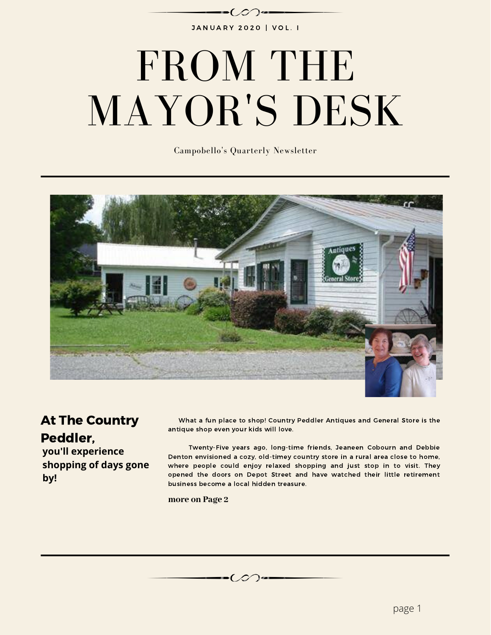

# FROM THE MAYOR'S DESK

Campobello's Quarterly Newsletter



Í.

#### At The Country Peddler,

**you'll experience shopping of days gone by!**

What a fun place to shop! Country Peddler Antiques and General Store is the antique shop even your kids will love.

Twenty-Five years ago, long-time friends, Jeaneen Cobourn and Debbie Denton envisioned a cozy, old-timey country store in a rural area close to home, where people could enjoy relaxed shopping and just stop in to visit. They opened the doors on Depot Street and have watched their little retirement business become a local hidden treasure.

**more on Page 2**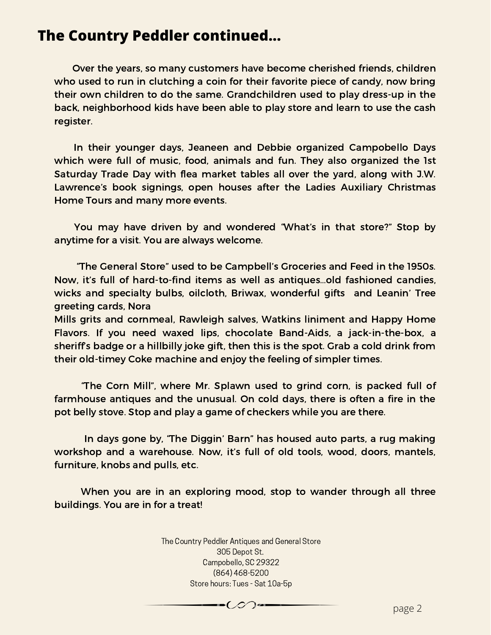#### **The Country Peddler continued...**

Over the years, so many customers have become cherished friends, children who used to run in clutching a coin for their favorite piece of candy, now bring their own children to do the same. Grandchildren used to play dress-up in the back, neighborhood kids have been able to play store and learn to use the cash register.

In their younger days, Jeaneen and Debbie organized Campobello Days which were full of music, food, animals and fun. They also organized the 1st Saturday Trade Day with flea market tables all over the yard, along with J.W. Lawrence's book signings, open houses after the Ladies Auxiliary Christmas Home Tours and many more events.

You may have driven by and wondered "What's in that store?" Stop by anytime for a visit. You are always welcome.

"The General Store" used to be Campbell's Groceries and Feed in the 1950s. Now, it's full of hard-to-find items as well as antiques…old fashioned candies, wicks and specialty bulbs, oilcloth, Briwax, wonderful gifts and Leanin' Tree greeting cards, Nora

Mills grits and cornmeal, Rawleigh salves, Watkins liniment and Happy Home Flavors. If you need waxed lips, chocolate Band-Aids, a jack-in-the-box, a sheriff's badge or a hillbilly joke gift, then this is the spot. Grab a cold drink from their old-timey Coke machine and enjoy the feeling of simpler times.

"The Corn Mill", where Mr. Splawn used to grind corn, is packed full of farmhouse antiques and the unusual. On cold days, there is often a fire in the pot belly stove. Stop and play a game of checkers while you are there.

In days gone by, "The Diggin' Barn" has housed auto parts, a rug making workshop and a warehouse. Now, it's full of old tools, wood, doors, mantels, furniture, knobs and pulls, etc.

When you are in an exploring mood, stop to wander through all three buildings. You are in for a treat!

> The Country Peddler Antiques and General Store 305 Depot St. Campobello, SC 29322 (864) 468-5200 Store hours: Tues - Sat 10a-5p

> > $\bullet$   $\mathcal{O}$   $\bullet$   $\bullet$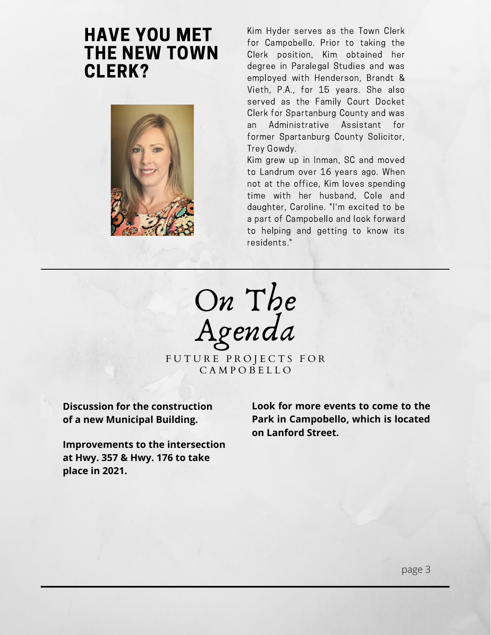### HAVE YOU MET THE NEW TOWN CLERK?



Kim Hyder serves as the Town Clerk for Campobello. Prior to taking the Clerk position, Kim obtained her degree in Paralegal Studies and was employed with Henderson, Brandt & Vieth, P.A., for 15 years. She also served as the Family Court Docket Clerk for Spartanburg County and was an Administrative Assistant for former Spartanburg County Solicitor, Trey Gowdy.

Kim grew up in Inman, SC and moved to Landrum over 16 years ago. When not at the office, Kim loves spending time with her husband, Cole and daughter, Caroline. "I'm excited to be a part of Campobello and look forward to helping and getting to know its residents."

On The Agenda

FUTURE PROJECTS FOR C A M P O B E L L O

**Discussion for the construction of a new Municipal Building.**

**Improvements to the intersection at Hwy. 357 & Hwy. 176 to take place in 2021.**

**Look for more events to come to the Park in Campobello, which is located on Lanford Street.**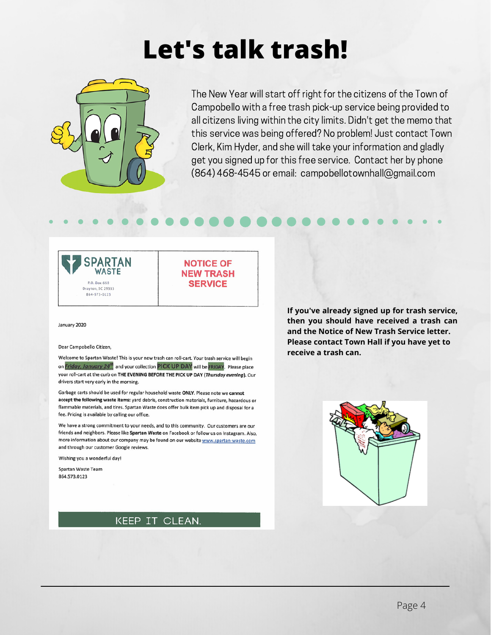# **Let's talk trash!**



The New Year will start off right for the citizens of the Town of Campobello with a free trash pick-up service being provided to all citizens living within the city limits. Didn't get the memo that this service was being offered? No problem! Just contact Town Clerk, Kim Hyder, and she will take your information and gladly get you signed up for this free service. Contact her by phone (864) 468-4545 or email: campobellotownhall@gmail.com



**NOTICE OF NEW TRASH SERVICE** 

January 2020

Dear Campobello Citizen.

Welcome to Spartan Waste! This is your new trash can roll-cart. Your trash service will begin on Friday, January 24<sup>th</sup> and your collection PICK UP DAY will be FRIDAY. Please place your roll-cart at the curb on THE EVENING BEFORE THE PICK UP DAY (Thursday evening). Our drivers start very early in the morning.

Garbage carts should be used for regular household waste ONLY. Please note we cannot accept the following waste items: yard debris, construction materials, furniture, hazardous or flammable materials, and tires. Spartan Waste does offer bulk item pick up and disposal for a fee. Pricing is available by calling our office.

We have a strong commitment to your needs, and to this community. Our customers are our friends and neighbors. Please like Spartan Waste on Facebook or follow us on Instagram. Also, more information about our company may be found on our website www.spartan-waste.com and through our customer Google reviews.

Wishing you a wonderful day!

Spartan Waste Team 864.573.0123



**If you've already signed up for trash service, then you should have received a trash can and the Notice of New Trash Service letter. Please contact Town Hall if you have yet to receive a trash can.**